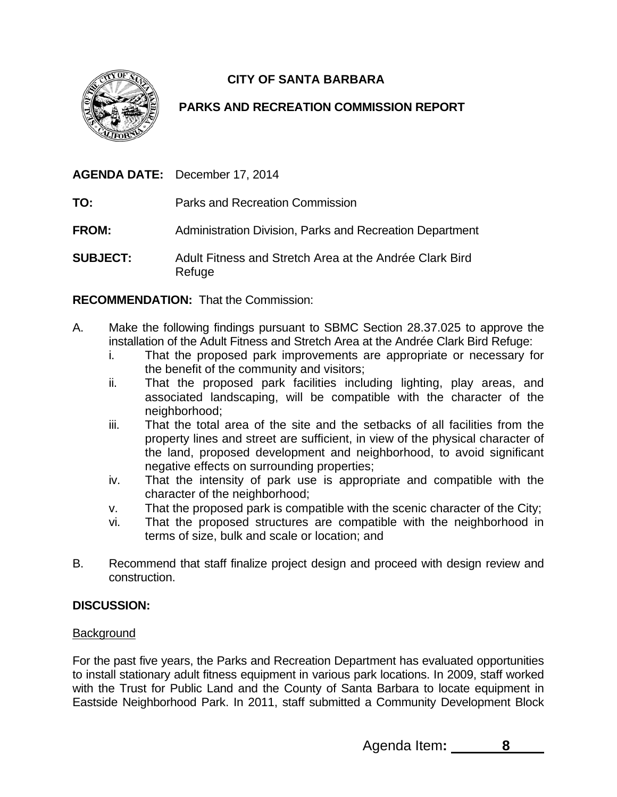

# **CITY OF SANTA BARBARA**

## **PARKS AND RECREATION COMMISSION REPORT**

**AGENDA DATE:** December 17, 2014

- **TO:** Parks and Recreation Commission
- **FROM:** Administration Division, Parks and Recreation Department
- **SUBJECT:** Adult Fitness and Stretch Area at the Andrée Clark Bird Refuge

**RECOMMENDATION:** That the Commission:

- A. Make the following findings pursuant to SBMC Section 28.37.025 to approve the installation of the Adult Fitness and Stretch Area at the Andrée Clark Bird Refuge:
	- i. That the proposed park improvements are appropriate or necessary for the benefit of the community and visitors;
	- ii. That the proposed park facilities including lighting, play areas, and associated landscaping, will be compatible with the character of the neighborhood;
	- iii. That the total area of the site and the setbacks of all facilities from the property lines and street are sufficient, in view of the physical character of the land, proposed development and neighborhood, to avoid significant negative effects on surrounding properties;
	- iv. That the intensity of park use is appropriate and compatible with the character of the neighborhood;
	- v. That the proposed park is compatible with the scenic character of the City;
	- vi. That the proposed structures are compatible with the neighborhood in terms of size, bulk and scale or location; and
- B. Recommend that staff finalize project design and proceed with design review and construction.

## **DISCUSSION:**

## **Background**

For the past five years, the Parks and Recreation Department has evaluated opportunities to install stationary adult fitness equipment in various park locations. In 2009, staff worked with the Trust for Public Land and the County of Santa Barbara to locate equipment in Eastside Neighborhood Park. In 2011, staff submitted a Community Development Block

Agenda Item**: 8**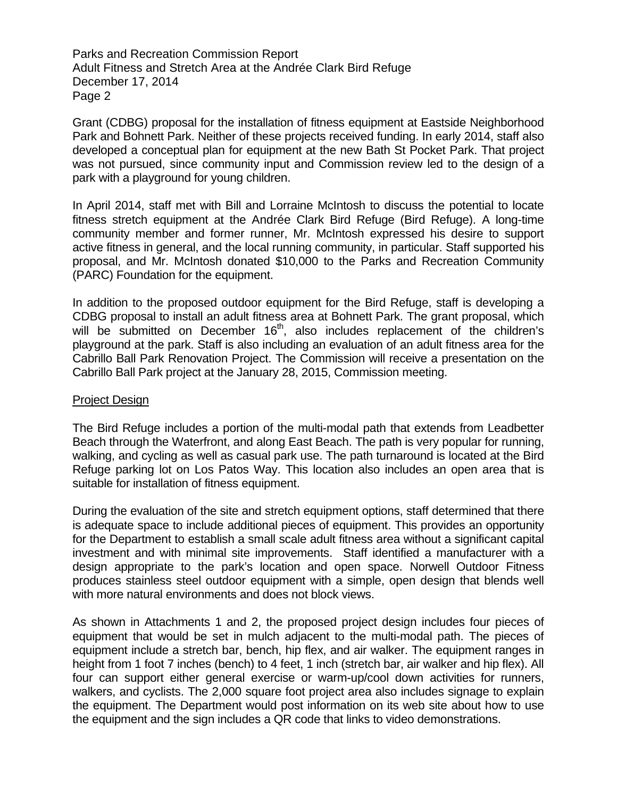Parks and Recreation Commission Report Adult Fitness and Stretch Area at the Andrée Clark Bird Refuge December 17, 2014 Page 2

Grant (CDBG) proposal for the installation of fitness equipment at Eastside Neighborhood Park and Bohnett Park. Neither of these projects received funding. In early 2014, staff also developed a conceptual plan for equipment at the new Bath St Pocket Park. That project was not pursued, since community input and Commission review led to the design of a park with a playground for young children.

In April 2014, staff met with Bill and Lorraine McIntosh to discuss the potential to locate fitness stretch equipment at the Andrée Clark Bird Refuge (Bird Refuge). A long-time community member and former runner, Mr. McIntosh expressed his desire to support active fitness in general, and the local running community, in particular. Staff supported his proposal, and Mr. McIntosh donated \$10,000 to the Parks and Recreation Community (PARC) Foundation for the equipment.

In addition to the proposed outdoor equipment for the Bird Refuge, staff is developing a CDBG proposal to install an adult fitness area at Bohnett Park. The grant proposal, which will be submitted on December 16<sup>th</sup>, also includes replacement of the children's playground at the park. Staff is also including an evaluation of an adult fitness area for the Cabrillo Ball Park Renovation Project. The Commission will receive a presentation on the Cabrillo Ball Park project at the January 28, 2015, Commission meeting.

#### Project Design

The Bird Refuge includes a portion of the multi-modal path that extends from Leadbetter Beach through the Waterfront, and along East Beach. The path is very popular for running, walking, and cycling as well as casual park use. The path turnaround is located at the Bird Refuge parking lot on Los Patos Way. This location also includes an open area that is suitable for installation of fitness equipment.

During the evaluation of the site and stretch equipment options, staff determined that there is adequate space to include additional pieces of equipment. This provides an opportunity for the Department to establish a small scale adult fitness area without a significant capital investment and with minimal site improvements. Staff identified a manufacturer with a design appropriate to the park's location and open space. Norwell Outdoor Fitness produces stainless steel outdoor equipment with a simple, open design that blends well with more natural environments and does not block views.

As shown in Attachments 1 and 2, the proposed project design includes four pieces of equipment that would be set in mulch adjacent to the multi-modal path. The pieces of equipment include a stretch bar, bench, hip flex, and air walker. The equipment ranges in height from 1 foot 7 inches (bench) to 4 feet, 1 inch (stretch bar, air walker and hip flex). All four can support either general exercise or warm-up/cool down activities for runners, walkers, and cyclists. The 2,000 square foot project area also includes signage to explain the equipment. The Department would post information on its web site about how to use the equipment and the sign includes a QR code that links to video demonstrations.